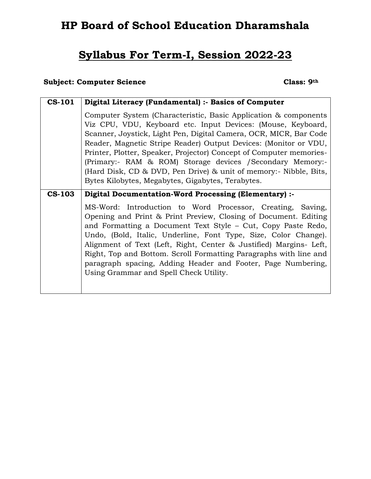# **HP Board of School Education Dharamshala**

# **Syllabus For Term-I, Session 2022-23**

## **Subject: Computer Science Class: 9th**

| <b>CS-101</b> | Digital Literacy (Fundamental) :- Basics of Computer                                                                                                                                                                                                                                                                                                                                                                                                                                                                                    |  |  |  |  |
|---------------|-----------------------------------------------------------------------------------------------------------------------------------------------------------------------------------------------------------------------------------------------------------------------------------------------------------------------------------------------------------------------------------------------------------------------------------------------------------------------------------------------------------------------------------------|--|--|--|--|
|               | Computer System (Characteristic, Basic Application & components<br>Viz CPU, VDU, Keyboard etc. Input Devices: (Mouse, Keyboard,<br>Scanner, Joystick, Light Pen, Digital Camera, OCR, MICR, Bar Code<br>Reader, Magnetic Stripe Reader) Output Devices: (Monitor or VDU,<br>Printer, Plotter, Speaker, Projector) Concept of Computer memories-<br>(Primary:- RAM & ROM) Storage devices / Secondary Memory:-<br>(Hard Disk, CD & DVD, Pen Drive) & unit of memory:- Nibble, Bits,<br>Bytes Kilobytes, Megabytes, Gigabytes, Terabytes. |  |  |  |  |
| <b>CS-103</b> | Digital Documentation-Word Processing (Elementary) :-                                                                                                                                                                                                                                                                                                                                                                                                                                                                                   |  |  |  |  |
|               | MS-Word: Introduction to Word Processor, Creating, Saving,<br>Opening and Print & Print Preview, Closing of Document. Editing<br>and Formatting a Document Text Style – Cut, Copy Paste Redo,<br>Undo, (Bold, Italic, Underline, Font Type, Size, Color Change).<br>Alignment of Text (Left, Right, Center & Justified) Margins- Left,<br>Right, Top and Bottom. Scroll Formatting Paragraphs with line and<br>paragraph spacing, Adding Header and Footer, Page Numbering,<br>Using Grammar and Spell Check Utility.                   |  |  |  |  |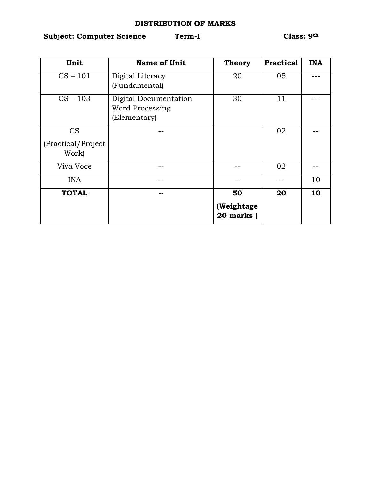### **DISTRIBUTION OF MARKS**

## **Subject: Computer Science Term-I Class: 9th**

| Unit               | <b>Name of Unit</b>    | <b>Theory</b>           | <b>Practical</b> | <b>INA</b> |
|--------------------|------------------------|-------------------------|------------------|------------|
| $CS - 101$         | Digital Literacy       | 20                      | 05               |            |
|                    | (Fundamental)          |                         |                  |            |
| $CS - 103$         | Digital Documentation  | 30                      | 11               |            |
|                    | <b>Word Processing</b> |                         |                  |            |
|                    | (Elementary)           |                         |                  |            |
| <b>CS</b>          |                        |                         | 02               |            |
| (Practical/Project |                        |                         |                  |            |
| Work)              |                        |                         |                  |            |
| Viva Voce          |                        |                         | 02               |            |
| <b>INA</b>         |                        |                         |                  | 10         |
| <b>TOTAL</b>       |                        | 50                      | 20               | 10         |
|                    |                        | (Weightage<br>20 marks) |                  |            |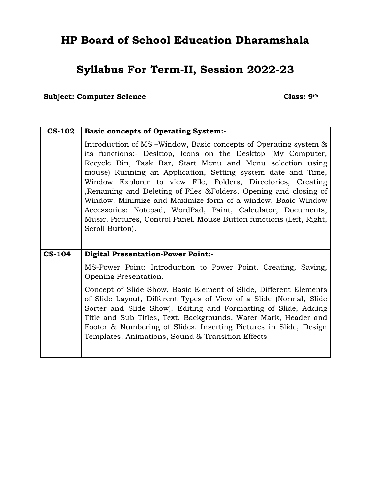# **HP Board of School Education Dharamshala**

# **Syllabus For Term-II, Session 2022-23**

### **Subject: Computer Science Class: 9th**

| <b>CS-102</b> | <b>Basic concepts of Operating System:-</b>                                                                                                                                                                                                                                                                                                                                                                                                                                                                                                                                                                                   |  |  |  |  |
|---------------|-------------------------------------------------------------------------------------------------------------------------------------------------------------------------------------------------------------------------------------------------------------------------------------------------------------------------------------------------------------------------------------------------------------------------------------------------------------------------------------------------------------------------------------------------------------------------------------------------------------------------------|--|--|--|--|
|               | Introduction of MS – Window, Basic concepts of Operating system &<br>its functions:- Desktop, Icons on the Desktop (My Computer,<br>Recycle Bin, Task Bar, Start Menu and Menu selection using<br>mouse) Running an Application, Setting system date and Time,<br>Window Explorer to view File, Folders, Directories, Creating<br>Renaming and Deleting of Files & Folders, Opening and closing of<br>Window, Minimize and Maximize form of a window. Basic Window<br>Accessories: Notepad, WordPad, Paint, Calculator, Documents,<br>Music, Pictures, Control Panel. Mouse Button functions (Left, Right,<br>Scroll Button). |  |  |  |  |
| <b>CS-104</b> | <b>Digital Presentation-Power Point:-</b>                                                                                                                                                                                                                                                                                                                                                                                                                                                                                                                                                                                     |  |  |  |  |
|               | MS-Power Point: Introduction to Power Point, Creating, Saving,<br>Opening Presentation.                                                                                                                                                                                                                                                                                                                                                                                                                                                                                                                                       |  |  |  |  |
|               | Concept of Slide Show, Basic Element of Slide, Different Elements<br>of Slide Layout, Different Types of View of a Slide (Normal, Slide<br>Sorter and Slide Show). Editing and Formatting of Slide, Adding<br>Title and Sub Titles, Text, Backgrounds, Water Mark, Header and<br>Footer & Numbering of Slides. Inserting Pictures in Slide, Design<br>Templates, Animations, Sound & Transition Effects                                                                                                                                                                                                                       |  |  |  |  |